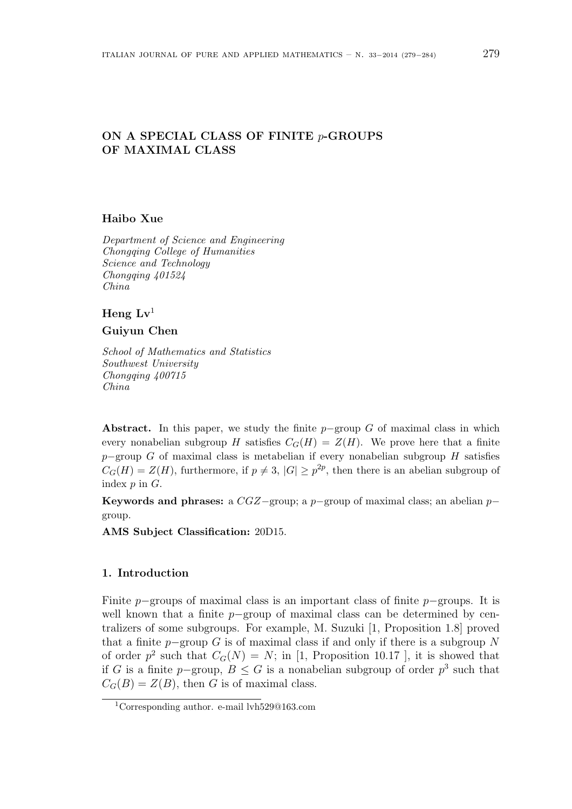# ON A SPECIAL CLASS OF FINITE p-GROUPS OF MAXIMAL CLASS

### Haibo Xue

Department of Science and Engineering Chongqing College of Humanities Science and Technology Chongqing 401524 China

## Heng  $Lv^1$

#### Guiyun Chen

School of Mathematics and Statistics Southwest University Chongqing 400715 China

Abstract. In this paper, we study the finite  $p$ -group G of maximal class in which every nonabelian subgroup H satisfies  $C_G(H) = Z(H)$ . We prove here that a finite p–group G of maximal class is metabelian if every nonabelian subgroup H satisfies  $C_G(H) = Z(H)$ , furthermore, if  $p \neq 3$ ,  $|G| \geq p^{2p}$ , then there is an abelian subgroup of index p in G.

Keywords and phrases: a  $CGZ$ –group; a p−group of maximal class; an abelian p– group.

AMS Subject Classification: 20D15.

## 1. Introduction

Finite p−groups of maximal class is an important class of finite p−groups. It is well known that a finite  $p$ –group of maximal class can be determined by centralizers of some subgroups. For example, M. Suzuki [1, Proposition 1.8] proved that a finite  $p$ –group G is of maximal class if and only if there is a subgroup N of order  $p^2$  such that  $C_G(N) = N$ ; in [1, Proposition 10.17], it is showed that if G is a finite p–group,  $B \le G$  is a nonabelian subgroup of order  $p^3$  such that  $C_G(B) = Z(B)$ , then G is of maximal class.

<sup>1</sup>Corresponding author. e-mail lvh529@163.com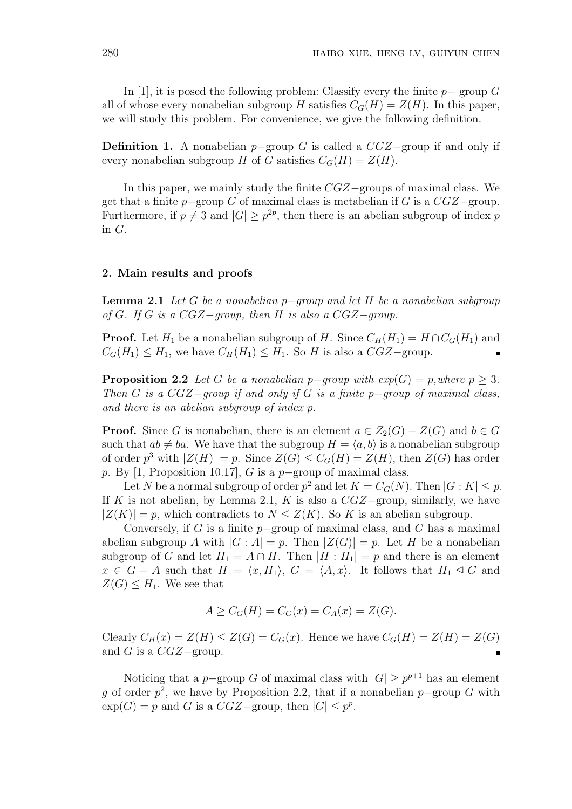In [1], it is posed the following problem: Classify every the finite  $p-$  group G all of whose every nonabelian subgroup H satisfies  $C_G(H) = Z(H)$ . In this paper, we will study this problem. For convenience, we give the following definition.

**Definition 1.** A nonabelian  $p$ –group G is called a  $CGZ$ –group if and only if every nonabelian subgroup H of G satisfies  $C_G(H) = Z(H)$ .

In this paper, we mainly study the finite CGZ−groups of maximal class. We get that a finite  $p$ −group G of maximal class is metabelian if G is a  $CGZ$ −group. Furthermore, if  $p \neq 3$  and  $|G| \geq p^{2p}$ , then there is an abelian subgroup of index p in G.

#### 2. Main results and proofs

**Lemma 2.1** Let G be a nonabelian p−group and let H be a nonabelian subgroup of G. If G is a CGZ-group, then H is also a CGZ-group.

**Proof.** Let  $H_1$  be a nonabelian subgroup of H. Since  $C_H(H_1) = H \cap C_G(H_1)$  and  $C_G(H_1) \leq H_1$ , we have  $C_H(H_1) \leq H_1$ . So H is also a  $CGZ$ -group.

**Proposition 2.2** Let G be a nonabelian p−group with  $exp(G) = p$ , where  $p \geq 3$ . Then G is a  $CGZ-qroup$  if and only if G is a finite p-group of maximal class, and there is an abelian subgroup of index p.

**Proof.** Since G is nonabelian, there is an element  $a \in Z_2(G) - Z(G)$  and  $b \in G$ such that  $ab \neq ba$ . We have that the subgroup  $H = \langle a, b \rangle$  is a nonabelian subgroup of order  $p^3$  with  $|Z(H)| = p$ . Since  $Z(G) \leq C_G(H) = Z(H)$ , then  $Z(G)$  has order p. By [1, Proposition 10.17], G is a p−group of maximal class.

Let N be a normal subgroup of order  $p^2$  and let  $K = C_G(N)$ . Then  $|G: K| \leq p$ . If K is not abelian, by Lemma 2.1, K is also a  $CGZ$ -group, similarly, we have  $|Z(K)| = p$ , which contradicts to  $N \leq Z(K)$ . So K is an abelian subgroup.

Conversely, if G is a finite  $p$ –group of maximal class, and G has a maximal abelian subgroup A with  $|G : A| = p$ . Then  $|Z(G)| = p$ . Let H be a nonabelian subgroup of G and let  $H_1 = A \cap H$ . Then  $|H : H_1| = p$  and there is an element  $x \in G - A$  such that  $H = \langle x, H_1 \rangle$ ,  $G = \langle A, x \rangle$ . It follows that  $H_1 \leq G$  and  $Z(G) \leq H_1$ . We see that

$$
A \geq C_G(H) = C_G(x) = C_A(x) = Z(G).
$$

Clearly  $C_H(x) = Z(H) \leq Z(G) = C_G(x)$ . Hence we have  $C_G(H) = Z(H) = Z(G)$ and G is a  $CGZ$ -group.

Noticing that a p-group G of maximal class with  $|G| \geq p^{p+1}$  has an element g of order  $p^2$ , we have by Proposition 2.2, that if a nonabelian p–group G with  $\exp(G) = p$  and G is a  $CGZ$ -group, then  $|G| \leq p^p$ .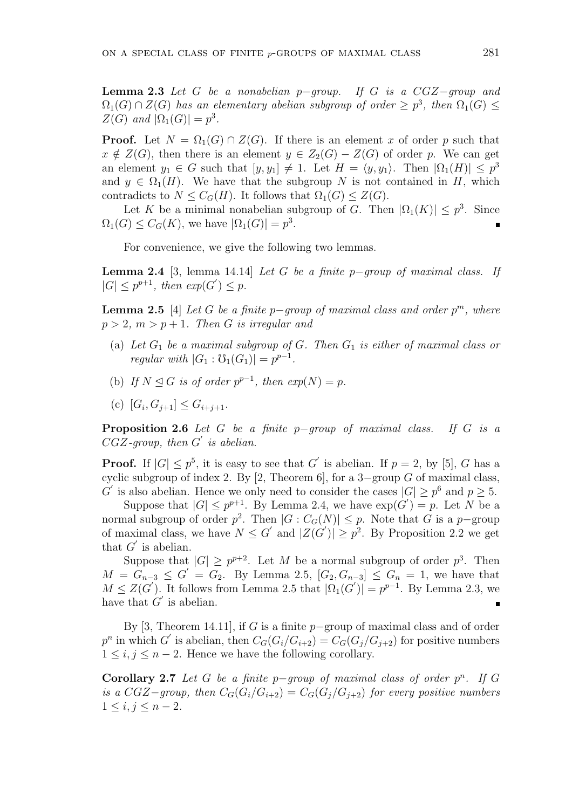**Lemma 2.3** Let G be a nonabelian p-group. If G is a  $CGZ-qroup$  and  $\Omega_1(G) \cap Z(G)$  has an elementary abelian subgroup of order  $\geq p^3$ , then  $\Omega_1(G) \leq$  $Z(G)$  and  $|\Omega_1(G)| = p^3$ .

**Proof.** Let  $N = \Omega_1(G) \cap Z(G)$ . If there is an element x of order p such that  $x \notin Z(G)$ , then there is an element  $y \in Z_2(G) - Z(G)$  of order p. We can get an element  $y_1 \in G$  such that  $[y, y_1] \neq 1$ . Let  $H = \langle y, y_1 \rangle$ . Then  $|\Omega_1(H)| \leq p^3$ and  $y \in \Omega_1(H)$ . We have that the subgroup N is not contained in H, which contradicts to  $N \leq C_G(H)$ . It follows that  $\Omega_1(G) \leq Z(G)$ .

Let K be a minimal nonabelian subgroup of G. Then  $|\Omega_1(K)| \leq p^3$ . Since  $\Omega_1(G) \leq C_G(K)$ , we have  $|\Omega_1(G)| = p^3$ .

For convenience, we give the following two lemmas.

**Lemma 2.4** [3, lemma 14.14] Let G be a finite p−group of maximal class. If  $|G| \leq p^{p+1}$ , then  $exp(G') \leq p$ .

**Lemma 2.5** [4] Let G be a finite p-group of maximal class and order  $p^m$ , where  $p > 2$ ,  $m > p + 1$ . Then G is irregular and

- (a) Let  $G_1$  be a maximal subgroup of G. Then  $G_1$  is either of maximal class or regular with  $|G_1 : \mathcal{O}_1(G_1)| = p^{p-1}$ .
- (b) If  $N \trianglelefteq G$  is of order  $p^{p-1}$ , then  $exp(N) = p$ .
- (c)  $[G_i, G_{j+1}] \leq G_{i+j+1}.$

**Proposition 2.6** Let G be a finite p-group of maximal class. If G is a  $CGZ$ -group, then  $G'$  is abelian.

**Proof.** If  $|G| \leq p^5$ , it is easy to see that G' is abelian. If  $p = 2$ , by [5], G has a cyclic subgroup of index 2. By [2, Theorem 6], for a 3-group  $G$  of maximal class, G' is also abelian. Hence we only need to consider the cases  $|G| \geq p^6$  and  $p \geq 5$ .

Suppose that  $|G| \leq p^{p+1}$ . By Lemma 2.4, we have  $\exp(G') = p$ . Let N be a normal subgroup of order  $p^2$ . Then  $|G: C_G(N)| \leq p$ . Note that G is a p-group of maximal class, we have  $N \leq G'$  and  $|Z(G')| \geq p^2$ . By Proposition 2.2 we get that  $G'$  is abelian.

Suppose that  $|G| \geq p^{p+2}$ . Let M be a normal subgroup of order  $p^3$ . Then  $M = G_{n-3} \leq G' = G_2$ . By Lemma 2.5,  $[G_2, G_{n-3}] \leq G_n = 1$ , we have that  $M \leq Z(G')$ . It follows from Lemma 2.5 that  $|\Omega_1(G')| = p^{p-1}$ . By Lemma 2.3, we have that  $G'$  is abelian.

By [3, Theorem 14.11], if G is a finite  $p$ –group of maximal class and of order  $p^n$  in which G' is abelian, then  $C_G(G_i/G_{i+2}) = C_G(G_j/G_{j+2})$  for positive numbers  $1 \leq i, j \leq n-2$ . Hence we have the following corollary.

Corollary 2.7 Let G be a finite p-group of maximal class of order  $p^n$ . If G is a CGZ–group, then  $C_G(G_i/G_{i+2}) = C_G(G_i/G_{i+2})$  for every positive numbers  $1 \le i, j \le n-2.$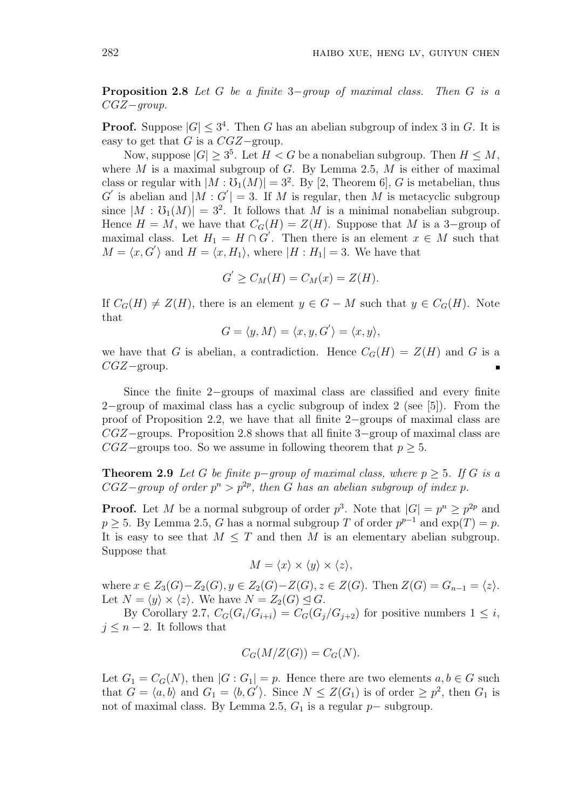Proposition 2.8 Let G be a finite 3−group of maximal class. Then G is a  $CGZ-qroup.$ 

**Proof.** Suppose  $|G| \leq 3^4$ . Then G has an abelian subgroup of index 3 in G. It is easy to get that  $G$  is a  $CGZ$ -group.

Now, suppose  $|G| \geq 3^5$ . Let  $H < G$  be a nonabelian subgroup. Then  $H \leq M$ , where  $M$  is a maximal subgroup of  $G$ . By Lemma 2.5,  $M$  is either of maximal class or regular with  $|M : \mathfrak{V}_1(M)| = 3^2$ . By [2, Theorem 6], G is metabelian, thus G' is abelian and  $|M: G'| = 3$ . If M is regular, then M is metacyclic subgroup since  $|M : \mathfrak{O}_1(M)| = 3^2$ . It follows that M is a minimal nonabelian subgroup. Hence  $H = M$ , we have that  $C_G(H) = Z(H)$ . Suppose that M is a 3-group of maximal class. Let  $H_1 = H \cap G'$ . Then there is an element  $x \in M$  such that  $M = \langle x, G' \rangle$  and  $H = \langle x, H_1 \rangle$ , where  $|H : H_1| = 3$ . We have that

$$
G' \ge C_M(H) = C_M(x) = Z(H).
$$

If  $C_G(H) \neq Z(H)$ , there is an element  $y \in G - M$  such that  $y \in C_G(H)$ . Note that

$$
G = \langle y, M \rangle = \langle x, y, G' \rangle = \langle x, y \rangle,
$$

we have that G is abelian, a contradiction. Hence  $C_G(H) = Z(H)$  and G is a CGZ−group.

Since the finite 2−groups of maximal class are classified and every finite 2−group of maximal class has a cyclic subgroup of index 2 (see [5]). From the proof of Proposition 2.2, we have that all finite 2−groups of maximal class are CGZ−groups. Proposition 2.8 shows that all finite 3−group of maximal class are  $CGZ$ –groups too. So we assume in following theorem that  $p \geq 5$ .

**Theorem 2.9** Let G be finite p-group of maximal class, where  $p > 5$ . If G is a  $CGZ-group$  of order  $p^n > p^{2p}$ , then G has an abelian subgroup of index p.

**Proof.** Let M be a normal subgroup of order  $p^3$ . Note that  $|G| = p^n \geq p^{2p}$  and  $p \geq 5$ . By Lemma 2.5, G has a normal subgroup T of order  $p^{p-1}$  and  $\exp(T) = p$ . It is easy to see that  $M \leq T$  and then M is an elementary abelian subgroup. Suppose that

$$
M = \langle x \rangle \times \langle y \rangle \times \langle z \rangle,
$$

where  $x \in Z_3(G) - Z_2(G), y \in Z_2(G) - Z(G), z \in Z(G)$ . Then  $Z(G) = G_{n-1} = \langle z \rangle$ . Let  $N = \langle y \rangle \times \langle z \rangle$ . We have  $N = Z_2(G) \trianglelefteq G$ .

By Corollary 2.7,  $C_G(G_i/G_{i+i}) = C_G(G_i/G_{i+2})$  for positive numbers  $1 \leq i$ ,  $j \leq n-2$ . It follows that

$$
C_G(M/Z(G)) = C_G(N).
$$

Let  $G_1 = C_G(N)$ , then  $|G: G_1| = p$ . Hence there are two elements  $a, b \in G$  such that  $G = \langle a, b \rangle$  and  $G_1 = \langle b, G' \rangle$ . Since  $N \leq Z(G_1)$  is of order  $\geq p^2$ , then  $G_1$  is not of maximal class. By Lemma 2.5,  $G_1$  is a regular  $p-$  subgroup.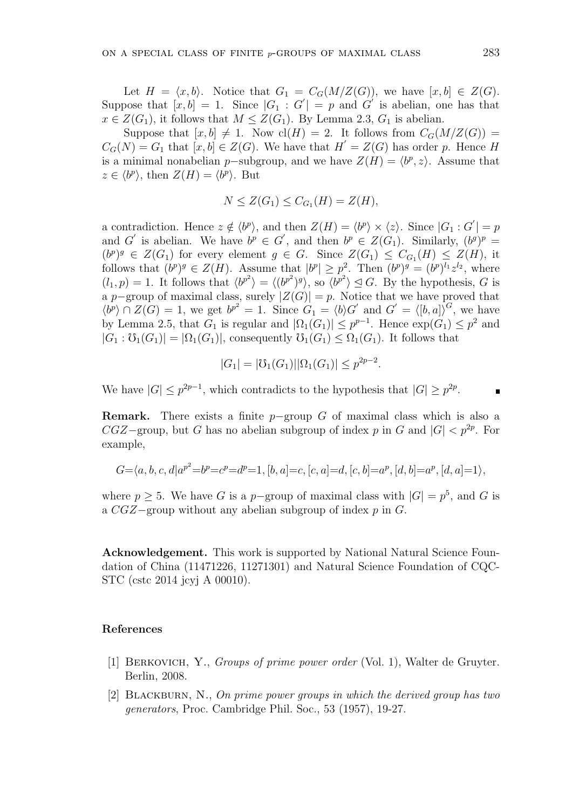Let  $H = \langle x, b \rangle$ . Notice that  $G_1 = C_G(M/Z(G))$ , we have  $[x, b] \in Z(G)$ . Suppose that  $[x, b] = 1$ . Since  $|G_1 : G'| = p$  and  $G'$  is abelian, one has that  $x \in Z(G_1)$ , it follows that  $M \leq Z(G_1)$ . By Lemma 2.3,  $G_1$  is abelian.

Suppose that  $[x, b] \neq 1$ . Now  $\text{cl}(H) = 2$ . It follows from  $C_G(M/Z(G)) =$  $C_G(N) = G_1$  that  $[x, b] \in Z(G)$ . We have that  $H' = Z(G)$  has order p. Hence H is a minimal nonabelian p-subgroup, and we have  $Z(H) = \langle b^p, z \rangle$ . Assume that  $z \in \langle b^p \rangle$ , then  $Z(H) = \langle b^p \rangle$ . But

$$
N \leq Z(G_1) \leq C_{G_1}(H) = Z(H),
$$

a contradiction. Hence  $z \notin \langle b^p \rangle$ , and then  $Z(H) = \langle b^p \rangle \times \langle z \rangle$ . Since  $|G_1 : G'| = p$ and G' is abelian. We have  $b^p \in G'$ , and then  $b^p \in Z(G_1)$ . Similarly,  $(b^g)^p =$  $(b^p)^g \in Z(G_1)$  for every element  $g \in G$ . Since  $Z(G_1) \leq C_{G_1}(H) \leq Z(H)$ , it follows that  $(b^p)^g \in Z(H)$ . Assume that  $|b^p| \geq p^2$ . Then  $(b^p)^g = (b^p)^{l_1} z^{l_2}$ , where  $(l_1, p) = 1$ . It follows that  $\langle b^{p^2} \rangle = \langle (b^{p^2})^g \rangle$ , so  $\langle b^{p^2} \rangle \leq G$ . By the hypothesis, G is a p–group of maximal class, surely  $|Z(G)| = p$ . Notice that we have proved that  $\langle b^p \rangle \cap Z(G) = 1$ , we get  $b^{p^2} = 1$ . Since  $G_1 = \langle b \rangle G'$  and  $G' = \langle [b, a] \rangle^G$ , we have by Lemma 2.5, that  $G_1$  is regular and  $|\Omega_1(G_1)| \leq p^{p-1}$ . Hence  $\exp(G_1) \leq p^2$  and  $|G_1 : \mathcal{O}_1(G_1)| = |\Omega_1(G_1)|$ , consequently  $\mathcal{O}_1(G_1) \leq \Omega_1(G_1)$ . It follows that

$$
|G_1| = |\mathcal{V}_1(G_1)||\Omega_1(G_1)| \le p^{2p-2}.
$$

We have  $|G| \leq p^{2p-1}$ , which contradicts to the hypothesis that  $|G| \geq p^{2p}$ .

**Remark.** There exists a finite  $p$ -group G of maximal class which is also a  $CGZ$ -group, but G has no abelian subgroup of index p in G and  $|G| < p^{2p}$ . For example,

$$
G = \langle a, b, c, d | a^{p^2} = b^p = c^p = d^p = 1, [b, a] = c, [c, a] = d, [c, b] = a^p, [d, b] = a^p, [d, a] = 1 \rangle,
$$

where  $p \geq 5$ . We have G is a p-group of maximal class with  $|G| = p^5$ , and G is a  $CGZ$ -group without any abelian subgroup of index p in G.

Acknowledgement. This work is supported by National Natural Science Foundation of China (11471226, 11271301) and Natural Science Foundation of CQC-STC (cstc 2014 jcyj A 00010).

## References

- [1] BERKOVICH, Y., Groups of prime power order (Vol. 1), Walter de Gruyter. Berlin, 2008.
- [2] BLACKBURN, N., On prime power groups in which the derived group has two generators, Proc. Cambridge Phil. Soc., 53 (1957), 19-27.